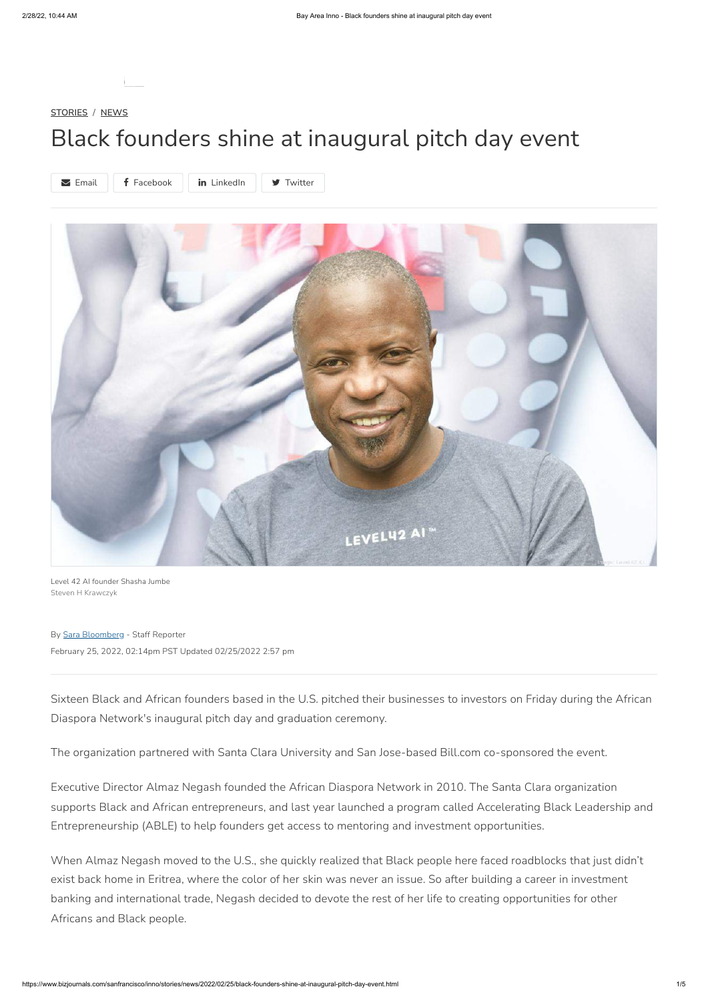**[STORIES](https://www.bizjournals.com/sanfrancisco/inno/stories) / [NEWS](https://www.bizjournals.com/sanfrancisco/inno/stories/news)**

# Black founders shine at inaugural pitch day event

Level 42 AI founder Shasha Jumbe Steven H Krawczyk

By Sara [Bloomberg](https://www.bizjournals.com/sanfrancisco/inno/stories/author/42479/Sara+Bloomberg) - Staff Reporter February 25, 2022, 02:14pm PST Updated 02/25/2022 2:57 pm

Sixteen Black and African founders based in the U.S. pitched their businesses to investors on Friday during the African Diaspora Network's inaugural pitch day and graduation ceremony.

The organization partnered with Santa Clara University and San Jose-based Bill.com co-sponsored the event.

Executive Director Almaz Negash founded the African Diaspora Network in 2010. The Santa Clara organization supports Black and African entrepreneurs, and last year launched a program called Accelerating Black Leadership and Entrepreneurship (ABLE) to help founders get access to mentoring and investment opportunities.

When Almaz Negash moved to the U.S., she quickly realized that Black people here faced roadblocks that just didn't exist back home in Eritrea, where the color of her skin was never an issue. So after building a career in investment banking and international trade, Negash decided to devote the rest of her life to creating opportunities for other Africans and Black people.



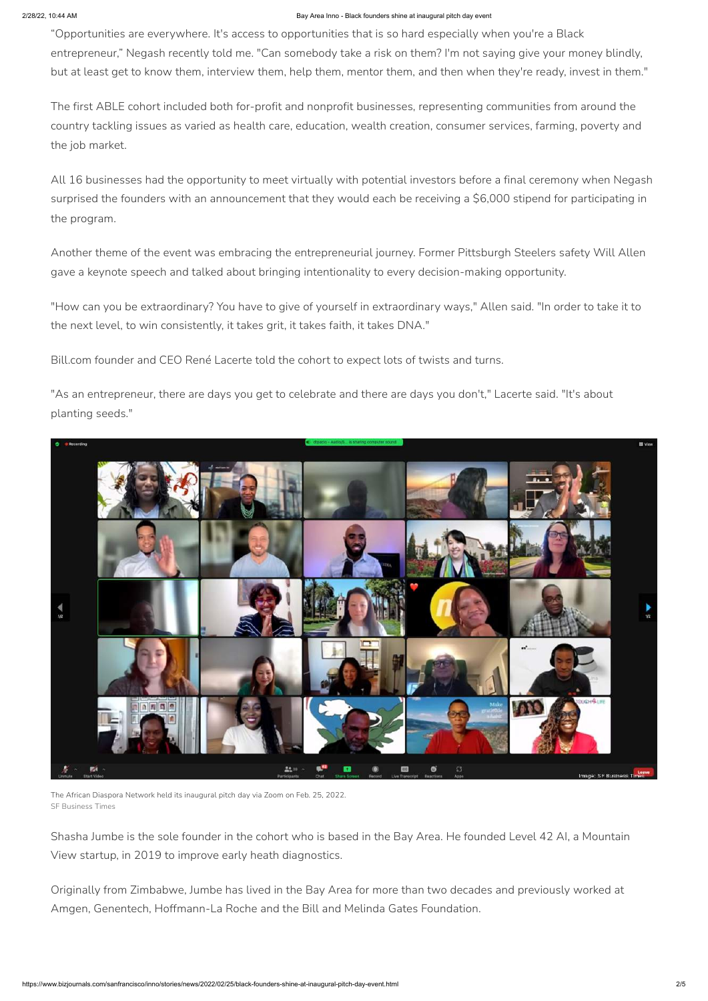#### 2/28/22, 10:44 AM Bay Area Inno - Black founders shine at inaugural pitch day event

"Opportunities are everywhere. It's access to opportunities that is so hard especially when you're a Black entrepreneur," Negash recently told me. "Can somebody take a risk on them? I'm not saying give your money blindly, but at least get to know them, interview them, help them, mentor them, and then when they're ready, invest in them."

The first ABLE cohort included both for-profit and nonprofit businesses, representing communities from around the country tackling issues as varied as health care, education, wealth creation, consumer services, farming, poverty and the job market.

All 16 businesses had the opportunity to meet virtually with potential investors before a final ceremony when Negash surprised the founders with an announcement that they would each be receiving a \$6,000 stipend for participating in the program.

Another theme of the event was embracing the entrepreneurial journey. Former Pittsburgh Steelers safety Will Allen gave a keynote speech and talked about bringing intentionality to every decision-making opportunity.

"How can you be extraordinary? You have to give of yourself in extraordinary ways," Allen said. "In order to take it to the next level, to win consistently, it takes grit, it takes faith, it takes DNA."

Bill.com founder and CEO René Lacerte told the cohort to expect lots of twists and turns.

"As an entrepreneur, there are days you get to celebrate and there are days you don't," Lacerte said. "It's about planting seeds."







The African Diaspora Network held its inaugural pitch day via Zoom on Feb. 25, 2022. SF Business Times

Shasha Jumbe is the sole founder in the cohort who is based in the Bay Area. He founded Level 42 AI, a Mountain View startup, in 2019 to improve early heath diagnostics.

Originally from Zimbabwe, Jumbe has lived in the Bay Area for more than two decades and previously worked at Amgen, Genentech, Hoffmann-La Roche and the Bill and Melinda Gates Foundation.